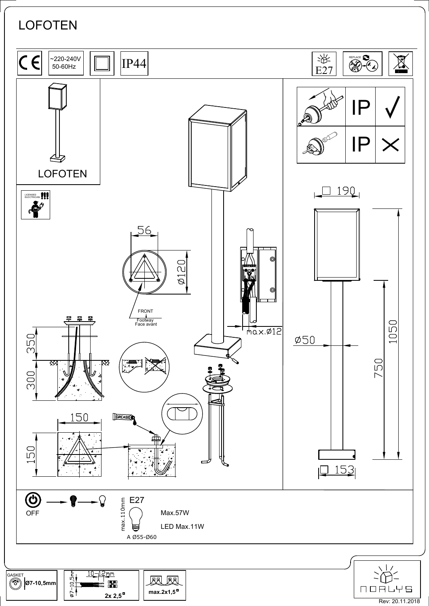## **LOFOTEN**



 $2x 2,5^{\square}$ 

 $max.2x1,5^{\circ}$ 

**NORLYS** Rev: 20.11.2018